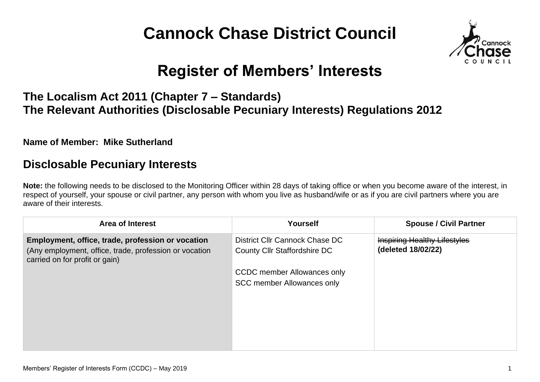# **Cannock Chase District Council**



## **Register of Members' Interests**

#### **The Localism Act 2011 (Chapter 7 – Standards) The Relevant Authorities (Disclosable Pecuniary Interests) Regulations 2012**

**Name of Member: Mike Sutherland**

#### **Disclosable Pecuniary Interests**

**Note:** the following needs to be disclosed to the Monitoring Officer within 28 days of taking office or when you become aware of the interest, in respect of yourself, your spouse or civil partner, any person with whom you live as husband/wife or as if you are civil partners where you are aware of their interests.

| <b>Area of Interest</b>                                                                                                                       | Yourself                                                                | <b>Spouse / Civil Partner</b>                             |
|-----------------------------------------------------------------------------------------------------------------------------------------------|-------------------------------------------------------------------------|-----------------------------------------------------------|
| Employment, office, trade, profession or vocation<br>(Any employment, office, trade, profession or vocation<br>carried on for profit or gain) | District Cllr Cannock Chase DC<br>County Cllr Staffordshire DC          | <b>Inspiring Healthy Lifestyles</b><br>(deleted 18/02/22) |
|                                                                                                                                               | <b>CCDC</b> member Allowances only<br><b>SCC member Allowances only</b> |                                                           |
|                                                                                                                                               |                                                                         |                                                           |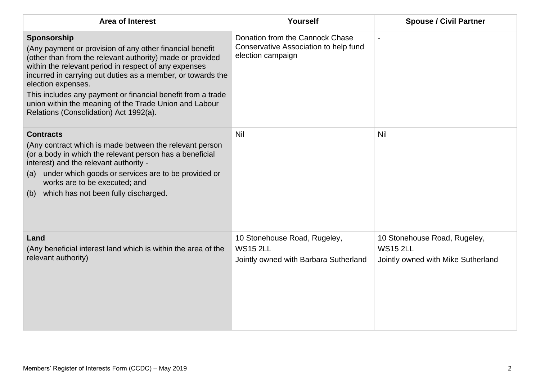| <b>Area of Interest</b>                                                                                                                                                                                                                                                                                                                                                                                                                               | Yourself                                                                                      | <b>Spouse / Civil Partner</b>                                                         |
|-------------------------------------------------------------------------------------------------------------------------------------------------------------------------------------------------------------------------------------------------------------------------------------------------------------------------------------------------------------------------------------------------------------------------------------------------------|-----------------------------------------------------------------------------------------------|---------------------------------------------------------------------------------------|
| Sponsorship<br>(Any payment or provision of any other financial benefit<br>(other than from the relevant authority) made or provided<br>within the relevant period in respect of any expenses<br>incurred in carrying out duties as a member, or towards the<br>election expenses.<br>This includes any payment or financial benefit from a trade<br>union within the meaning of the Trade Union and Labour<br>Relations (Consolidation) Act 1992(a). | Donation from the Cannock Chase<br>Conservative Association to help fund<br>election campaign |                                                                                       |
| <b>Contracts</b><br>(Any contract which is made between the relevant person<br>(or a body in which the relevant person has a beneficial<br>interest) and the relevant authority -<br>under which goods or services are to be provided or<br>(a)<br>works are to be executed; and<br>which has not been fully discharged.<br>(b)                                                                                                                       | Nil                                                                                           | Nil                                                                                   |
| Land<br>(Any beneficial interest land which is within the area of the<br>relevant authority)                                                                                                                                                                                                                                                                                                                                                          | 10 Stonehouse Road, Rugeley,<br><b>WS15 2LL</b><br>Jointly owned with Barbara Sutherland      | 10 Stonehouse Road, Rugeley,<br><b>WS15 2LL</b><br>Jointly owned with Mike Sutherland |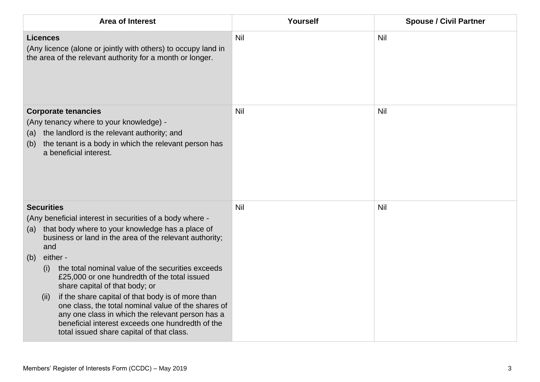| Area of Interest                                                                                                                                                                                                                                                                                                                                                                                                                                                                                                                                                                                                                                     | Yourself   | <b>Spouse / Civil Partner</b> |
|------------------------------------------------------------------------------------------------------------------------------------------------------------------------------------------------------------------------------------------------------------------------------------------------------------------------------------------------------------------------------------------------------------------------------------------------------------------------------------------------------------------------------------------------------------------------------------------------------------------------------------------------------|------------|-------------------------------|
| <b>Licences</b><br>(Any licence (alone or jointly with others) to occupy land in<br>the area of the relevant authority for a month or longer.                                                                                                                                                                                                                                                                                                                                                                                                                                                                                                        | <b>Nil</b> | <b>Nil</b>                    |
| <b>Corporate tenancies</b><br>(Any tenancy where to your knowledge) -<br>the landlord is the relevant authority; and<br>(a)<br>the tenant is a body in which the relevant person has<br>(b)<br>a beneficial interest.                                                                                                                                                                                                                                                                                                                                                                                                                                | Nil        | Nil                           |
| <b>Securities</b><br>(Any beneficial interest in securities of a body where -<br>that body where to your knowledge has a place of<br>(a)<br>business or land in the area of the relevant authority;<br>and<br>either -<br>(b)<br>the total nominal value of the securities exceeds<br>(i)<br>£25,000 or one hundredth of the total issued<br>share capital of that body; or<br>if the share capital of that body is of more than<br>(ii)<br>one class, the total nominal value of the shares of<br>any one class in which the relevant person has a<br>beneficial interest exceeds one hundredth of the<br>total issued share capital of that class. | Nil        | Nil                           |